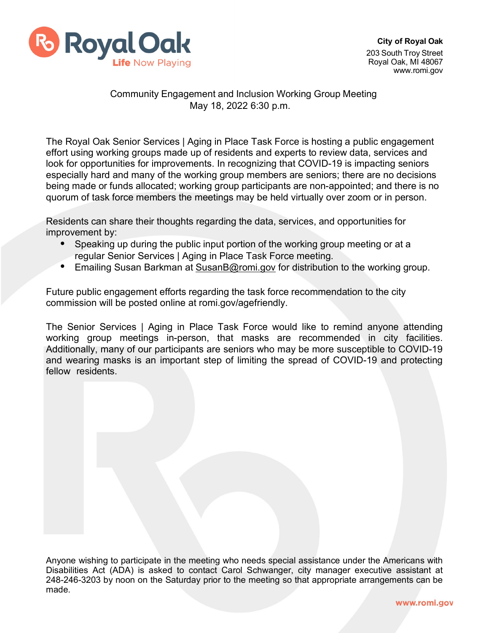

## Community Engagement and Inclusion Working Group Meeting May 18, 2022 6:30 p.m.

The Royal Oak Senior Services | Aging in Place Task Force is hosting a public engagement effort using working groups made up of residents and experts to review data, services and look for opportunities for improvements. In recognizing that COVID-19 is impacting seniors especially hard and many of the working group members are seniors; there are no decisions being made or funds allocated; working group participants are non-appointed; and there is no quorum of task force members the meetings may be held virtually over zoom or in person.

Residents can share their thoughts regarding the data, services, and opportunities for improvement by:

- Speaking up during the public input portion of the working group meeting or at a regular Senior Services | Aging in Place Task Force meeting.
- Emailing Susan Barkman at [SusanB@romi.gov](mailto:SusanB@romi.gov) for distribution to the working group.

Future public engagement efforts regarding the task force recommendation to the city commission will be posted online at romi.gov/agefriendly.

The Senior Services | Aging in Place Task Force would like to remind anyone attending working group meetings in-person, that masks are recommended in city facilities. Additionally, many of our participants are seniors who may be more susceptible to COVID-19 and wearing masks is an important step of limiting the spread of COVID-19 and protecting fellow residents.

Anyone wishing to participate in the meeting who needs special assistance under the Americans with Disabilities Act (ADA) is asked to contact Carol Schwanger, city manager executive assistant at 248-246-3203 by noon on the Saturday prior to the meeting so that appropriate arrangements can be made.